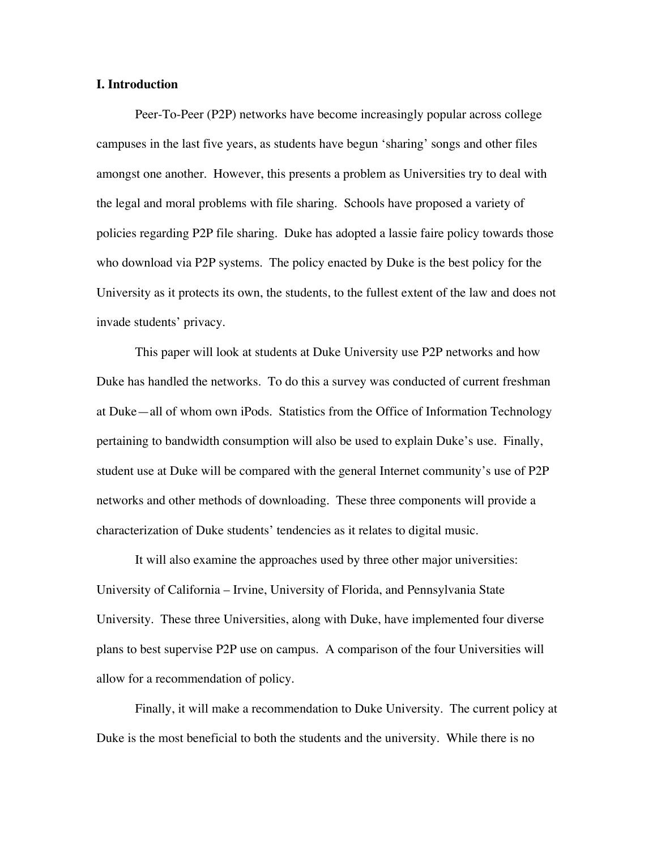### **I. Introduction**

Peer-To-Peer (P2P) networks have become increasingly popular across college campuses in the last five years, as students have begun 'sharing' songs and other files amongst one another. However, this presents a problem as Universities try to deal with the legal and moral problems with file sharing. Schools have proposed a variety of policies regarding P2P file sharing. Duke has adopted a lassie faire policy towards those who download via P2P systems. The policy enacted by Duke is the best policy for the University as it protects its own, the students, to the fullest extent of the law and does not invade students' privacy.

This paper will look at students at Duke University use P2P networks and how Duke has handled the networks. To do this a survey was conducted of current freshman at Duke—all of whom own iPods. Statistics from the Office of Information Technology pertaining to bandwidth consumption will also be used to explain Duke's use. Finally, student use at Duke will be compared with the general Internet community's use of P2P networks and other methods of downloading. These three components will provide a characterization of Duke students' tendencies as it relates to digital music.

It will also examine the approaches used by three other major universities: University of California – Irvine, University of Florida, and Pennsylvania State University. These three Universities, along with Duke, have implemented four diverse plans to best supervise P2P use on campus. A comparison of the four Universities will allow for a recommendation of policy.

Finally, it will make a recommendation to Duke University. The current policy at Duke is the most beneficial to both the students and the university. While there is no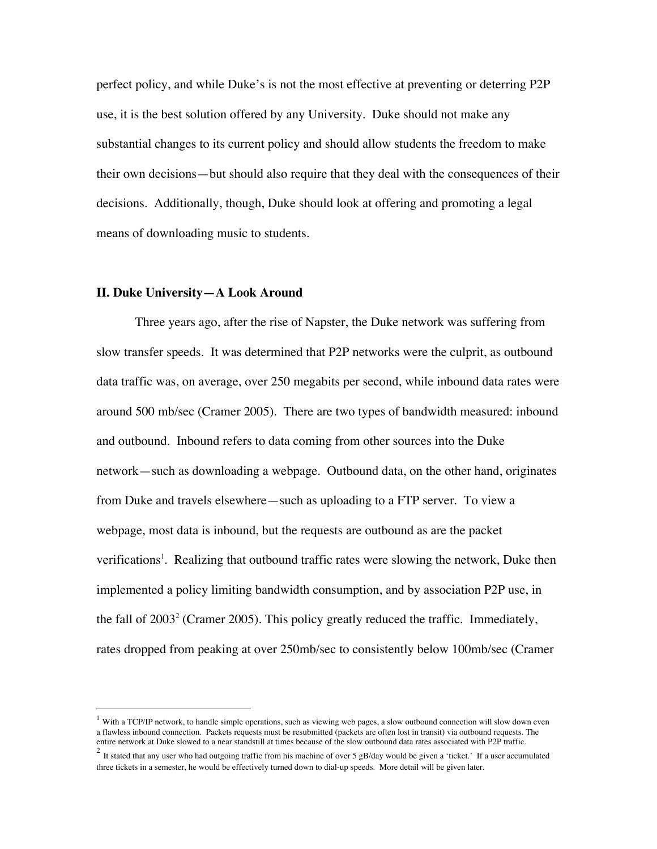perfect policy, and while Duke's is not the most effective at preventing or deterring P2P use, it is the best solution offered by any University. Duke should not make any substantial changes to its current policy and should allow students the freedom to make their own decisions—but should also require that they deal with the consequences of their decisions. Additionally, though, Duke should look at offering and promoting a legal means of downloading music to students.

### **II. Duke University—A Look Around**

Three years ago, after the rise of Napster, the Duke network was suffering from slow transfer speeds. It was determined that P2P networks were the culprit, as outbound data traffic was, on average, over 250 megabits per second, while inbound data rates were around 500 mb/sec (Cramer 2005). There are two types of bandwidth measured: inbound and outbound. Inbound refers to data coming from other sources into the Duke network—such as downloading a webpage. Outbound data, on the other hand, originates from Duke and travels elsewhere—such as uploading to a FTP server. To view a webpage, most data is inbound, but the requests are outbound as are the packet verifications<sup>1</sup>. Realizing that outbound traffic rates were slowing the network, Duke then implemented a policy limiting bandwidth consumption, and by association P2P use, in the fall of  $2003<sup>2</sup>$  (Cramer 2005). This policy greatly reduced the traffic. Immediately, rates dropped from peaking at over 250mb/sec to consistently below 100mb/sec (Cramer

 $1$  With a TCP/IP network, to handle simple operations, such as viewing web pages, a slow outbound connection will slow down even a flawless inbound connection. Packets requests must be resubmitted (packets are often lost in transit) via outbound requests. The entire network at Duke slowed to a near standstill at times because of the slow outbound data rates associated with P2P traffic.

 $2$  It stated that any user who had outgoing traffic from his machine of over 5 gB/day would be given a 'ticket.' If a user accumulated three tickets in a semester, he would be effectively turned down to dial-up speeds. More detail will be given later.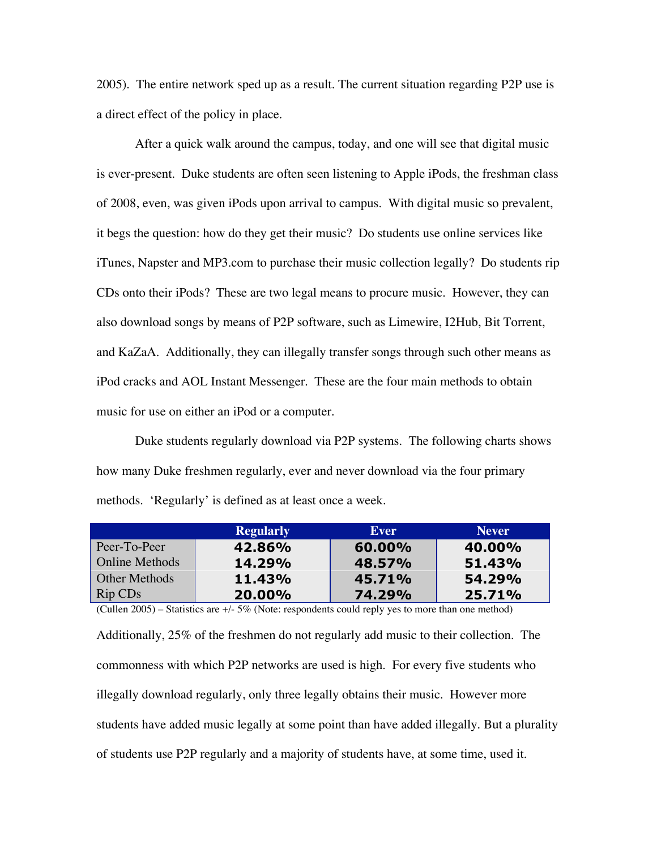2005). The entire network sped up as a result. The current situation regarding P2P use is a direct effect of the policy in place.

After a quick walk around the campus, today, and one will see that digital music is ever-present. Duke students are often seen listening to Apple iPods, the freshman class of 2008, even, was given iPods upon arrival to campus. With digital music so prevalent, it begs the question: how do they get their music? Do students use online services like iTunes, Napster and MP3.com to purchase their music collection legally? Do students rip CDs onto their iPods? These are two legal means to procure music. However, they can also download songs by means of P2P software, such as Limewire, I2Hub, Bit Torrent, and KaZaA. Additionally, they can illegally transfer songs through such other means as iPod cracks and AOL Instant Messenger. These are the four main methods to obtain music for use on either an iPod or a computer.

Duke students regularly download via P2P systems. The following charts shows how many Duke freshmen regularly, ever and never download via the four primary methods. 'Regularly' is defined as at least once a week.

|                       | <b>Regularly</b> | Ever   | <b>Never</b> |
|-----------------------|------------------|--------|--------------|
| Peer-To-Peer          | 42.86%           | 60.00% | 40.00%       |
| <b>Online Methods</b> | 14.29%           | 48.57% | 51.43%       |
| Other Methods         | 11.43%           | 45.71% | 54.29%       |
| Rip CD <sub>s</sub>   | 20.00%           | 74.29% | 25.71%       |

(Cullen 2005) – Statistics are +/- 5% (Note: respondents could reply yes to more than one method)

Additionally, 25% of the freshmen do not regularly add music to their collection. The commonness with which P2P networks are used is high. For every five students who illegally download regularly, only three legally obtains their music. However more students have added music legally at some point than have added illegally. But a plurality of students use P2P regularly and a majority of students have, at some time, used it.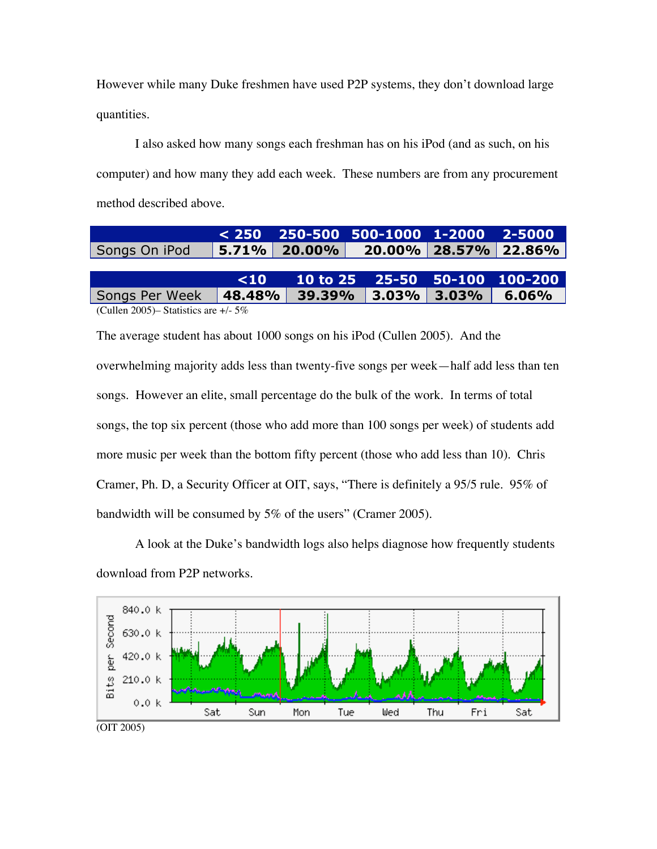However while many Duke freshmen have used P2P systems, they don't download large quantities.

I also asked how many songs each freshman has on his iPod (and as such, on his computer) and how many they add each week. These numbers are from any procurement method described above.

|                                      |           |                 | $< 250$ 250-500 500-1000 1-2000 2-5000 |          |                      |
|--------------------------------------|-----------|-----------------|----------------------------------------|----------|----------------------|
| Songs On iPod                        |           | $5.71\%$ 20.00% |                                        |          | 20.00% 28.57% 22.86% |
|                                      |           |                 |                                        |          |                      |
|                                      | $\leq 10$ |                 | 10 to 25 25-50 50-100 100-200          |          |                      |
| Songs Per Week                       | 48.48%    | 39.39%          | $ 3.03\% $                             | $3.03\%$ | $6.06\%$             |
| $(C_{n+1}, D_{0})$ $(1, 1)$ $(2, 1)$ |           |                 |                                        |          |                      |

(Cullen 2005)– Statistics are +/- 5%

The average student has about 1000 songs on his iPod (Cullen 2005). And the overwhelming majority adds less than twenty-five songs per week—half add less than ten songs. However an elite, small percentage do the bulk of the work. In terms of total songs, the top six percent (those who add more than 100 songs per week) of students add more music per week than the bottom fifty percent (those who add less than 10). Chris Cramer, Ph. D, a Security Officer at OIT, says, "There is definitely a 95/5 rule. 95% of bandwidth will be consumed by 5% of the users" (Cramer 2005).

A look at the Duke's bandwidth logs also helps diagnose how frequently students download from P2P networks.

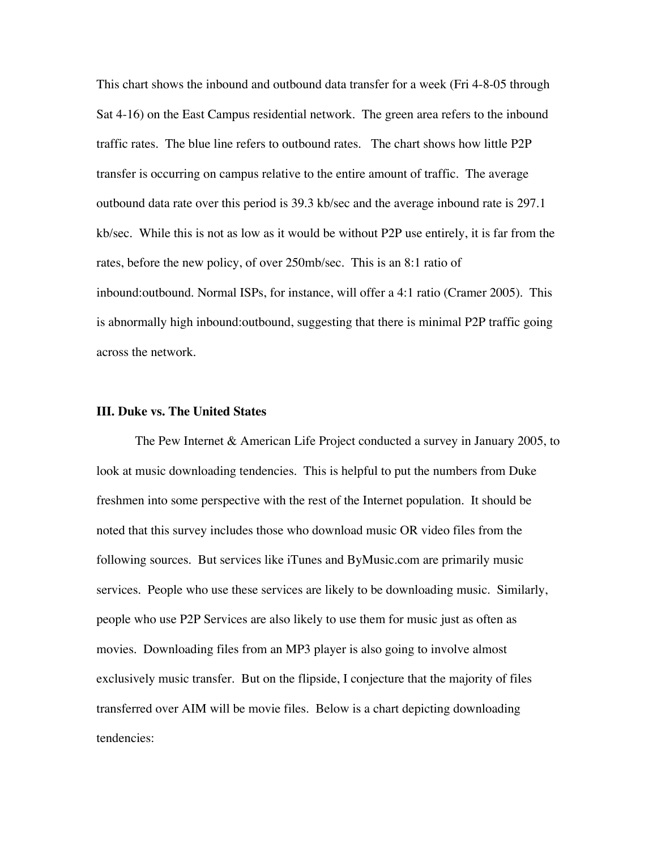This chart shows the inbound and outbound data transfer for a week (Fri 4-8-05 through Sat 4-16) on the East Campus residential network. The green area refers to the inbound traffic rates. The blue line refers to outbound rates. The chart shows how little P2P transfer is occurring on campus relative to the entire amount of traffic. The average outbound data rate over this period is 39.3 kb/sec and the average inbound rate is 297.1 kb/sec. While this is not as low as it would be without P2P use entirely, it is far from the rates, before the new policy, of over 250mb/sec. This is an 8:1 ratio of inbound:outbound. Normal ISPs, for instance, will offer a 4:1 ratio (Cramer 2005). This is abnormally high inbound:outbound, suggesting that there is minimal P2P traffic going across the network.

## **III. Duke vs. The United States**

The Pew Internet & American Life Project conducted a survey in January 2005, to look at music downloading tendencies. This is helpful to put the numbers from Duke freshmen into some perspective with the rest of the Internet population. It should be noted that this survey includes those who download music OR video files from the following sources. But services like iTunes and ByMusic.com are primarily music services. People who use these services are likely to be downloading music. Similarly, people who use P2P Services are also likely to use them for music just as often as movies. Downloading files from an MP3 player is also going to involve almost exclusively music transfer. But on the flipside, I conjecture that the majority of files transferred over AIM will be movie files. Below is a chart depicting downloading tendencies: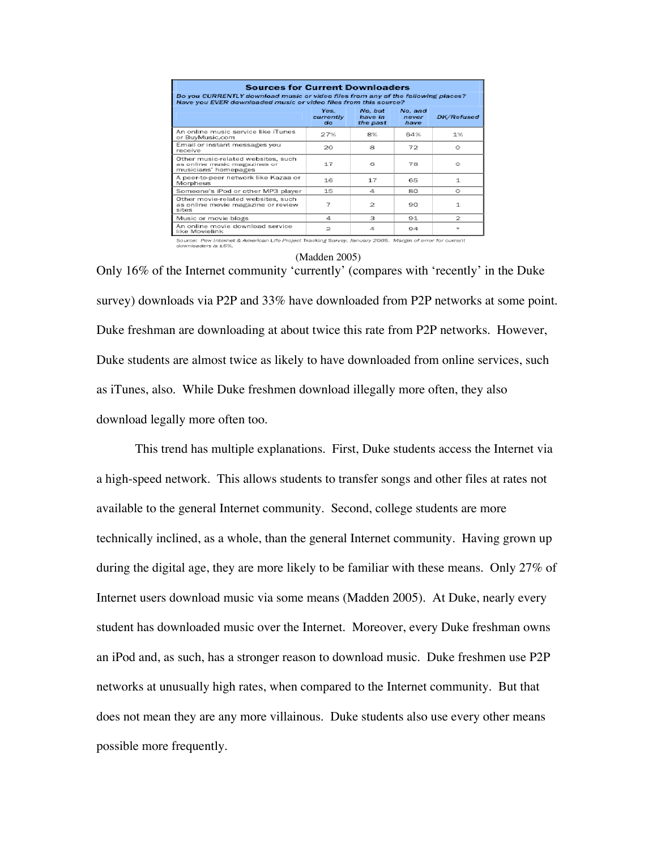| <b>Sources for Current Downloaders</b><br>Do you CURRENTLY download music or video files from any of the following places?<br>Have you EVER downloaded music or video files from this source? |                         |                                |                          |                   |  |  |  |
|-----------------------------------------------------------------------------------------------------------------------------------------------------------------------------------------------|-------------------------|--------------------------------|--------------------------|-------------------|--|--|--|
|                                                                                                                                                                                               | Yes.<br>currently<br>do | No. but<br>have in<br>the past | No. and<br>never<br>have | <b>DK/Refused</b> |  |  |  |
| An online music service like iTunes<br>or BuyMusic.com                                                                                                                                        | 27%                     | 8%                             | 64%                      | 1%                |  |  |  |
| Email or instant messages you<br>receive                                                                                                                                                      | 20                      | я                              | 72                       | $^{\circ}$        |  |  |  |
| Other music-related websites, such<br>as online music magazines or<br>musicians' homepages                                                                                                    | 17                      | 6                              | 78                       | $^{\circ}$        |  |  |  |
| A peer-to-peer network like Kazaa or<br>Morpheus                                                                                                                                              | 16                      | 17                             | 65                       | $\mathbf{1}$      |  |  |  |
| Someone's iPod or other MP3 player                                                                                                                                                            | 15                      | 4                              | 80                       | $^{\circ}$        |  |  |  |
| Other movie-related websites, such<br>as online movie magazine or review<br>sites                                                                                                             | 7                       | 2                              | 90                       | $\mathbf{1}$      |  |  |  |
| Music or movie blogs                                                                                                                                                                          | л                       | з                              | 91                       | 2                 |  |  |  |
| An online movie download service<br>like Movielink                                                                                                                                            | 2                       | 4                              | 94                       |                   |  |  |  |

Source: Pew Internet & American Life Project Tracking Survey, January 2005. Margin of error for current

#### (Madden 2005)

Only 16% of the Internet community 'currently' (compares with 'recently' in the Duke survey) downloads via P2P and 33% have downloaded from P2P networks at some point. Duke freshman are downloading at about twice this rate from P2P networks. However, Duke students are almost twice as likely to have downloaded from online services, such as iTunes, also. While Duke freshmen download illegally more often, they also download legally more often too.

This trend has multiple explanations. First, Duke students access the Internet via a high-speed network. This allows students to transfer songs and other files at rates not available to the general Internet community. Second, college students are more technically inclined, as a whole, than the general Internet community. Having grown up during the digital age, they are more likely to be familiar with these means. Only 27% of Internet users download music via some means (Madden 2005). At Duke, nearly every student has downloaded music over the Internet. Moreover, every Duke freshman owns an iPod and, as such, has a stronger reason to download music. Duke freshmen use P2P networks at unusually high rates, when compared to the Internet community. But that does not mean they are any more villainous. Duke students also use every other means possible more frequently.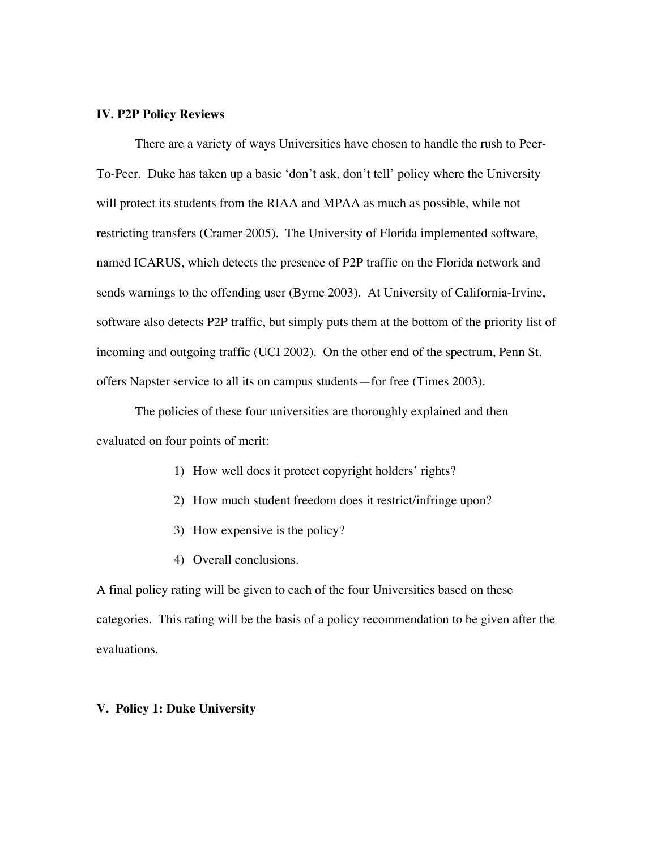### **IV. P2P Policy Reviews**

There are a variety of ways Universities have chosen to handle the rush to Peer-To-Peer. Duke has taken up a basic 'don't ask, don't tell' policy where the University will protect its students from the RIAA and MPAA as much as possible, while not restricting transfers (Cramer 2005). The University of Florida implemented software, named ICARUS, which detects the presence of P2P traffic on the Florida network and sends warnings to the offending user (Byrne 2003). At University of California-Irvine, software also detects P2P traffic, but simply puts them at the bottom of the priority list of incoming and outgoing traffic (UCI 2002). On the other end of the spectrum, Penn St. offers Napster service to all its on campus students—for free (Times 2003).

The policies of these four universities are thoroughly explained and then evaluated on four points of merit:

- 1) How well does it protect copyright holders' rights?
- 2) How much student freedom does it restrict/infringe upon?
- 3) How expensive is the policy?
- 4) Overall conclusions.

A final policy rating will be given to each of the four Universities based on these categories. This rating will be the basis of a policy recommendation to be given after the evaluations.

#### **V. Policy 1: Duke University**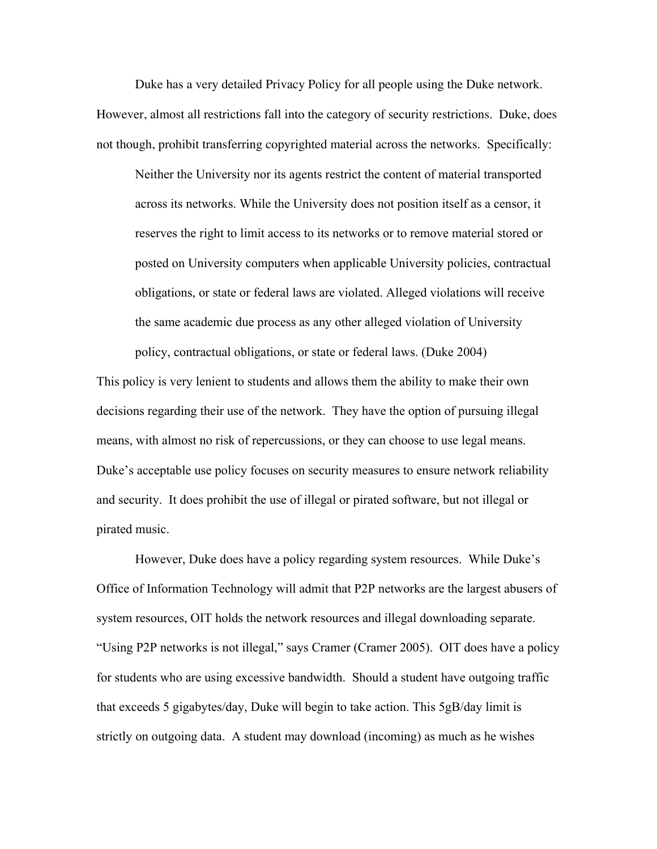Duke has a very detailed Privacy Policy for all people using the Duke network. However, almost all restrictions fall into the category of security restrictions. Duke, does not though, prohibit transferring copyrighted material across the networks. Specifically:

Neither the University nor its agents restrict the content of material transported across its networks. While the University does not position itself as a censor, it reserves the right to limit access to its networks or to remove material stored or posted on University computers when applicable University policies, contractual obligations, or state or federal laws are violated. Alleged violations will receive the same academic due process as any other alleged violation of University policy, contractual obligations, or state or federal laws. (Duke 2004)

This policy is very lenient to students and allows them the ability to make their own decisions regarding their use of the network. They have the option of pursuing illegal means, with almost no risk of repercussions, or they can choose to use legal means. Duke's acceptable use policy focuses on security measures to ensure network reliability and security. It does prohibit the use of illegal or pirated software, but not illegal or pirated music.

However, Duke does have a policy regarding system resources. While Duke's Office of Information Technology will admit that P2P networks are the largest abusers of system resources, OIT holds the network resources and illegal downloading separate. "Using P2P networks is not illegal," says Cramer (Cramer 2005). OIT does have a policy for students who are using excessive bandwidth. Should a student have outgoing traffic that exceeds 5 gigabytes/day, Duke will begin to take action. This 5gB/day limit is strictly on outgoing data. A student may download (incoming) as much as he wishes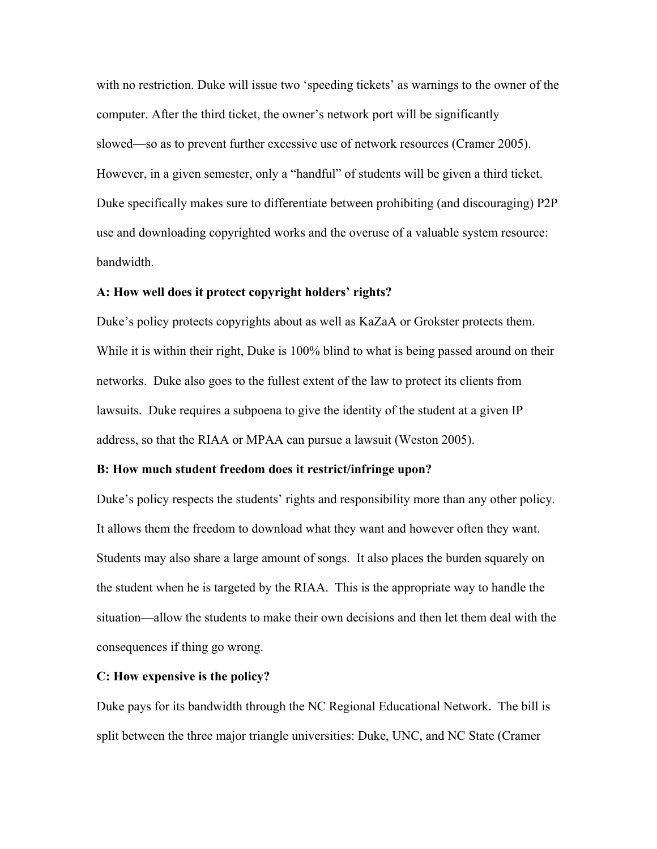with no restriction. Duke will issue two 'speeding tickets' as warnings to the owner of the computer. After the third ticket, the owner's network port will be significantly slowed—so as to prevent further excessive use of network resources (Cramer 2005). However, in a given semester, only a "handful" of students will be given a third ticket. Duke specifically makes sure to differentiate between prohibiting (and discouraging) P2P use and downloading copyrighted works and the overuse of a valuable system resource: bandwidth.

# A: How well does it protect copyright holders' rights?

Duke's policy protects copyrights about as well as KaZaA or Grokster protects them. While it is within their right, Duke is 100% blind to what is being passed around on their networks. Duke also goes to the fullest extent of the law to protect its clients from lawsuits. Duke requires a subpoena to give the identity of the student at a given IP address, so that the RIAA or MPAA can pursue a lawsuit (Weston 2005).

#### B: How much student freedom does it restrict/infringe upon?

Duke's policy respects the students' rights and responsibility more than any other policy. It allows them the freedom to download what they want and however often they want. Students may also share a large amount of songs. It also places the burden squarely on the student when he is targeted by the RIAA. This is the appropriate way to handle the situation—allow the students to make their own decisions and then let them deal with the consequences if thing go wrong.

#### C: How expensive is the policy?

Duke pays for its bandwidth through the NC Regional Educational Network. The bill is split between the three major triangle universities: Duke, UNC, and NC State (Cramer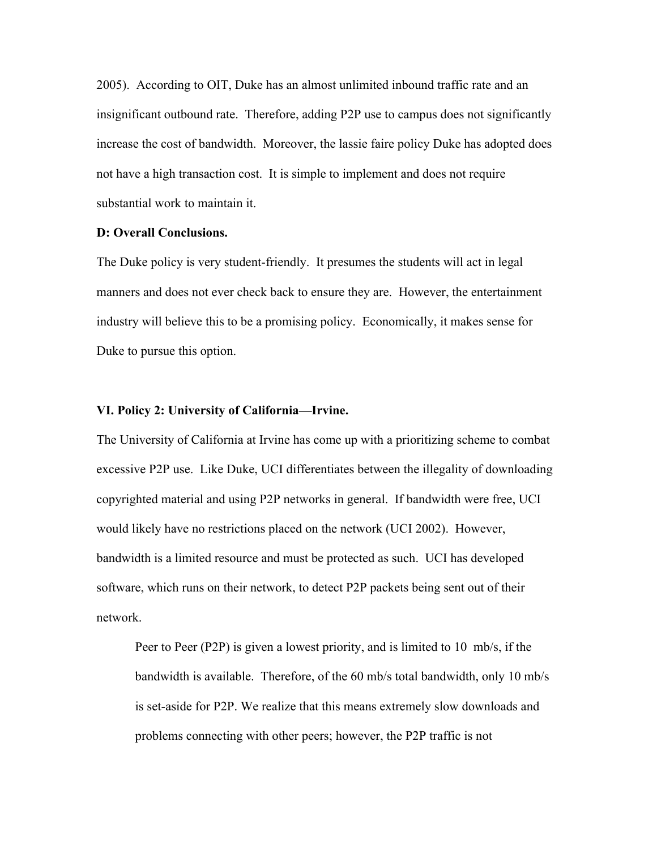2005). According to OIT, Duke has an almost unlimited inbound traffic rate and an insignificant outbound rate. Therefore, adding P2P use to campus does not significantly increase the cost of bandwidth. Moreover, the lassie faire policy Duke has adopted does not have a high transaction cost. It is simple to implement and does not require substantial work to maintain it.

# D: Overall Conclusions.

The Duke policy is very student-friendly. It presumes the students will act in legal manners and does not ever check back to ensure they are. However, the entertainment industry will believe this to be a promising policy. Economically, it makes sense for Duke to pursue this option.

# VI. Policy 2: University of California—Irvine.

The University of California at Irvine has come up with a prioritizing scheme to combat excessive P2P use. Like Duke, UCI differentiates between the illegality of downloading copyrighted material and using P2P networks in general. If bandwidth were free, UCI would likely have no restrictions placed on the network (UCI 2002). However, bandwidth is a limited resource and must be protected as such. UCI has developed software, which runs on their network, to detect P2P packets being sent out of their network.

Peer to Peer (P2P) is given a lowest priority, and is limited to 10 mb/s, if the bandwidth is available. Therefore, of the 60 mb/s total bandwidth, only 10 mb/s is set-aside for P2P. We realize that this means extremely slow downloads and problems connecting with other peers; however, the P2P traffic is not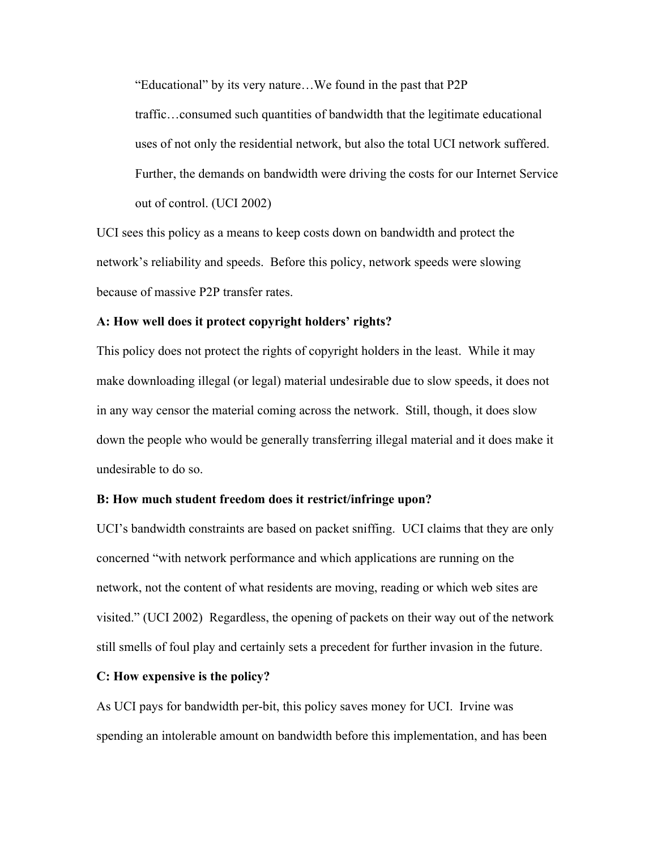"Educational" by its very nature…We found in the past that P2P

traffic…consumed such quantities of bandwidth that the legitimate educational uses of not only the residential network, but also the total UCI network suffered. Further, the demands on bandwidth were driving the costs for our Internet Service out of control. (UCI 2002)

UCI sees this policy as a means to keep costs down on bandwidth and protect the network's reliability and speeds. Before this policy, network speeds were slowing because of massive P2P transfer rates.

# A: How well does it protect copyright holders' rights?

This policy does not protect the rights of copyright holders in the least. While it may make downloading illegal (or legal) material undesirable due to slow speeds, it does not in any way censor the material coming across the network. Still, though, it does slow down the people who would be generally transferring illegal material and it does make it undesirable to do so.

### B: How much student freedom does it restrict/infringe upon?

UCI's bandwidth constraints are based on packet sniffing. UCI claims that they are only concerned "with network performance and which applications are running on the network, not the content of what residents are moving, reading or which web sites are visited." (UCI 2002) Regardless, the opening of packets on their way out of the network still smells of foul play and certainly sets a precedent for further invasion in the future.

#### C: How expensive is the policy?

As UCI pays for bandwidth per-bit, this policy saves money for UCI. Irvine was spending an intolerable amount on bandwidth before this implementation, and has been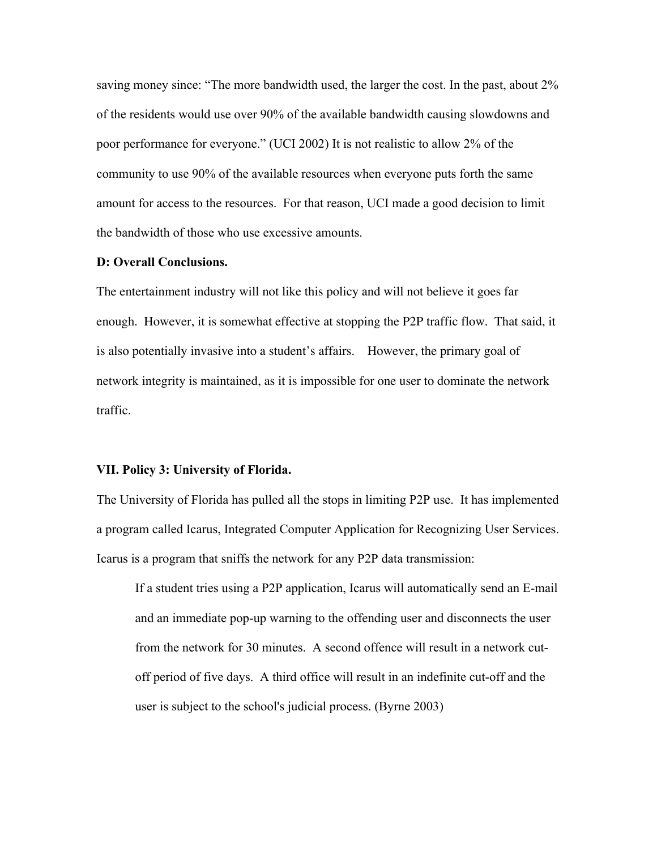saving money since: "The more bandwidth used, the larger the cost. In the past, about 2% of the residents would use over 90% of the available bandwidth causing slowdowns and poor performance for everyone." (UCI 2002) It is not realistic to allow 2% of the community to use 90% of the available resources when everyone puts forth the same amount for access to the resources. For that reason, UCI made a good decision to limit the bandwidth of those who use excessive amounts.

#### D: Overall Conclusions.

The entertainment industry will not like this policy and will not believe it goes far enough. However, it is somewhat effective at stopping the P2P traffic flow. That said, it is also potentially invasive into a student's affairs. However, the primary goal of network integrity is maintained, as it is impossible for one user to dominate the network traffic.

### VII. Policy 3: University of Florida.

The University of Florida has pulled all the stops in limiting P2P use. It has implemented a program called Icarus, Integrated Computer Application for Recognizing User Services. Icarus is a program that sniffs the network for any P2P data transmission:

If a student tries using a P2P application, Icarus will automatically send an E-mail and an immediate pop-up warning to the offending user and disconnects the user from the network for 30 minutes. A second offence will result in a network cutoff period of five days. A third office will result in an indefinite cut-off and the user is subject to the school's judicial process. (Byrne 2003)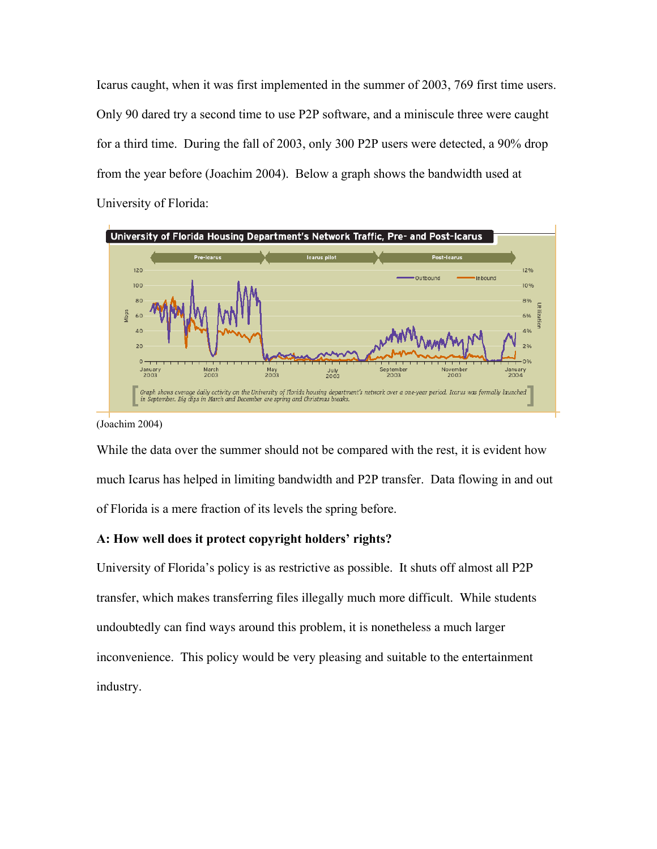Icarus caught, when it was first implemented in the summer of 2003, 769 first time users. Only 90 dared try a second time to use P2P software, and a miniscule three were caught for a third time. During the fall of 2003, only 300 P2P users were detected, a 90% drop from the year before (Joachim 2004). Below a graph shows the bandwidth used at University of Florida:



(Joachim 2004)

While the data over the summer should not be compared with the rest, it is evident how much Icarus has helped in limiting bandwidth and P2P transfer. Data flowing in and out of Florida is a mere fraction of its levels the spring before.

# A: How well does it protect copyright holders' rights?

University of Florida's policy is as restrictive as possible. It shuts off almost all P2P transfer, which makes transferring files illegally much more difficult. While students undoubtedly can find ways around this problem, it is nonetheless a much larger inconvenience. This policy would be very pleasing and suitable to the entertainment industry.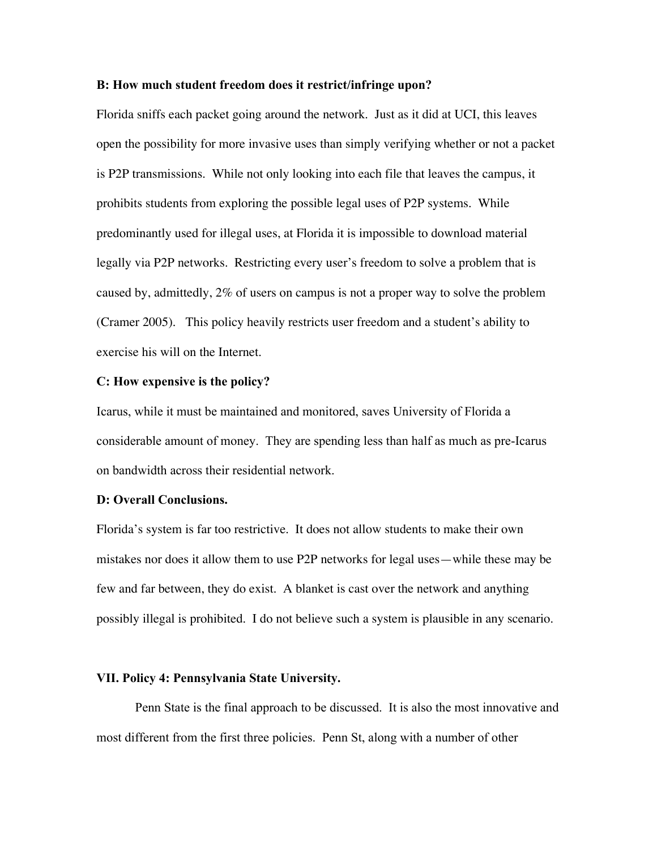### B: How much student freedom does it restrict/infringe upon?

Florida sniffs each packet going around the network. Just as it did at UCI, this leaves open the possibility for more invasive uses than simply verifying whether or not a packet is P2P transmissions. While not only looking into each file that leaves the campus, it prohibits students from exploring the possible legal uses of P2P systems. While predominantly used for illegal uses, at Florida it is impossible to download material legally via P2P networks. Restricting every user's freedom to solve a problem that is caused by, admittedly, 2% of users on campus is not a proper way to solve the problem (Cramer 2005). This policy heavily restricts user freedom and a student's ability to exercise his will on the Internet.

#### C: How expensive is the policy?

Icarus, while it must be maintained and monitored, saves University of Florida a considerable amount of money. They are spending less than half as much as pre-Icarus on bandwidth across their residential network.

#### D: Overall Conclusions.

Florida's system is far too restrictive. It does not allow students to make their own mistakes nor does it allow them to use P2P networks for legal uses—while these may be few and far between, they do exist. A blanket is cast over the network and anything possibly illegal is prohibited. I do not believe such a system is plausible in any scenario.

# VII. Policy 4: Pennsylvania State University.

Penn State is the final approach to be discussed. It is also the most innovative and most different from the first three policies. Penn St, along with a number of other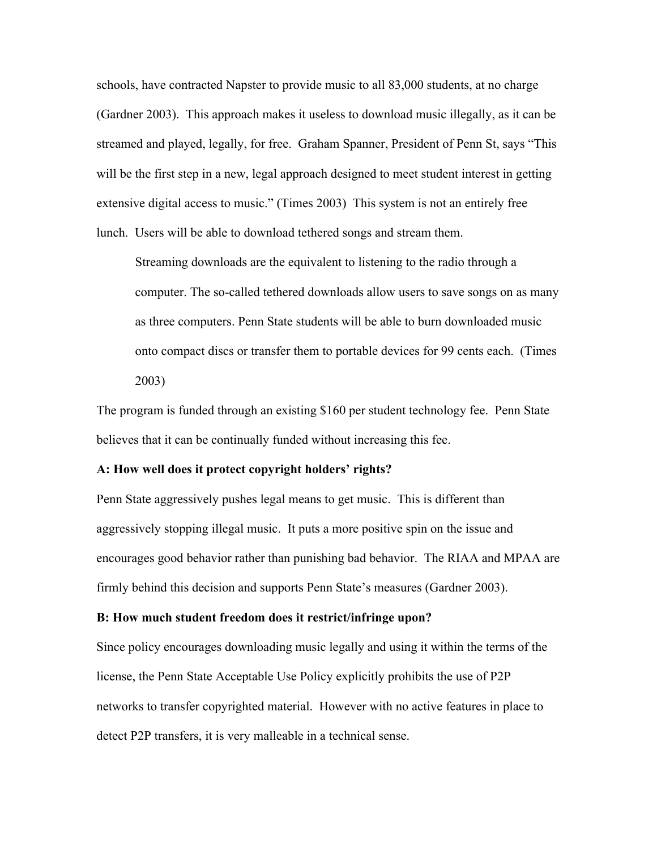schools, have contracted Napster to provide music to all 83,000 students, at no charge (Gardner 2003). This approach makes it useless to download music illegally, as it can be streamed and played, legally, for free. Graham Spanner, President of Penn St, says "This will be the first step in a new, legal approach designed to meet student interest in getting extensive digital access to music." (Times 2003) This system is not an entirely free lunch. Users will be able to download tethered songs and stream them.

Streaming downloads are the equivalent to listening to the radio through a computer. The so-called tethered downloads allow users to save songs on as many as three computers. Penn State students will be able to burn downloaded music onto compact discs or transfer them to portable devices for 99 cents each. (Times 2003)

The program is funded through an existing \$160 per student technology fee. Penn State believes that it can be continually funded without increasing this fee.

#### A: How well does it protect copyright holders' rights?

Penn State aggressively pushes legal means to get music. This is different than aggressively stopping illegal music. It puts a more positive spin on the issue and encourages good behavior rather than punishing bad behavior. The RIAA and MPAA are firmly behind this decision and supports Penn State's measures (Gardner 2003).

#### B: How much student freedom does it restrict/infringe upon?

Since policy encourages downloading music legally and using it within the terms of the license, the Penn State Acceptable Use Policy explicitly prohibits the use of P2P networks to transfer copyrighted material. However with no active features in place to detect P2P transfers, it is very malleable in a technical sense.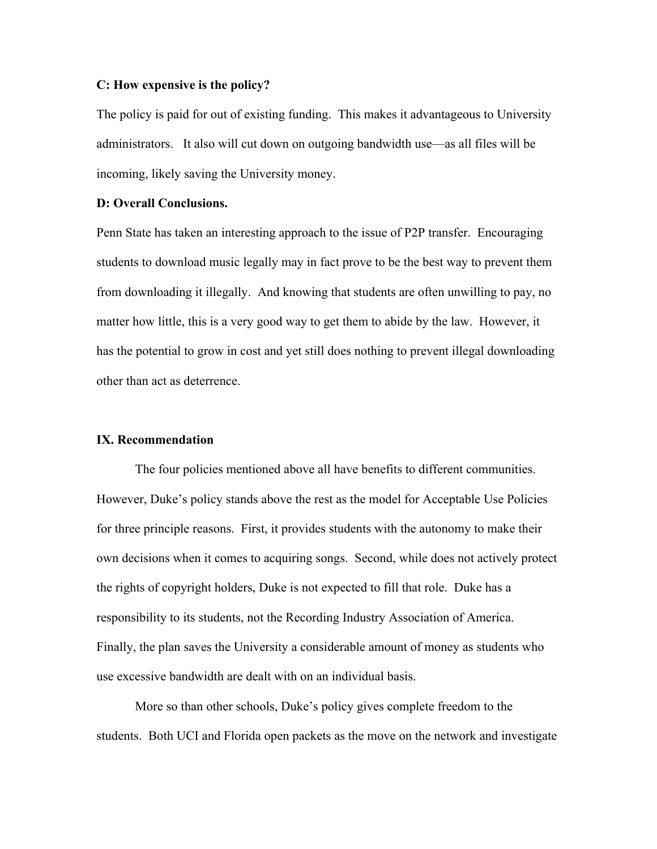# C: How expensive is the policy?

The policy is paid for out of existing funding. This makes it advantageous to University administrators. It also will cut down on outgoing bandwidth use—as all files will be incoming, likely saving the University money.

# D: Overall Conclusions.

Penn State has taken an interesting approach to the issue of P2P transfer. Encouraging students to download music legally may in fact prove to be the best way to prevent them from downloading it illegally. And knowing that students are often unwilling to pay, no matter how little, this is a very good way to get them to abide by the law. However, it has the potential to grow in cost and yet still does nothing to prevent illegal downloading other than act as deterrence.

# IX. Recommendation

The four policies mentioned above all have benefits to different communities. However, Duke's policy stands above the rest as the model for Acceptable Use Policies for three principle reasons. First, it provides students with the autonomy to make their own decisions when it comes to acquiring songs. Second, while does not actively protect the rights of copyright holders, Duke is not expected to fill that role. Duke has a responsibility to its students, not the Recording Industry Association of America. Finally, the plan saves the University a considerable amount of money as students who use excessive bandwidth are dealt with on an individual basis.

More so than other schools, Duke's policy gives complete freedom to the students. Both UCI and Florida open packets as the move on the network and investigate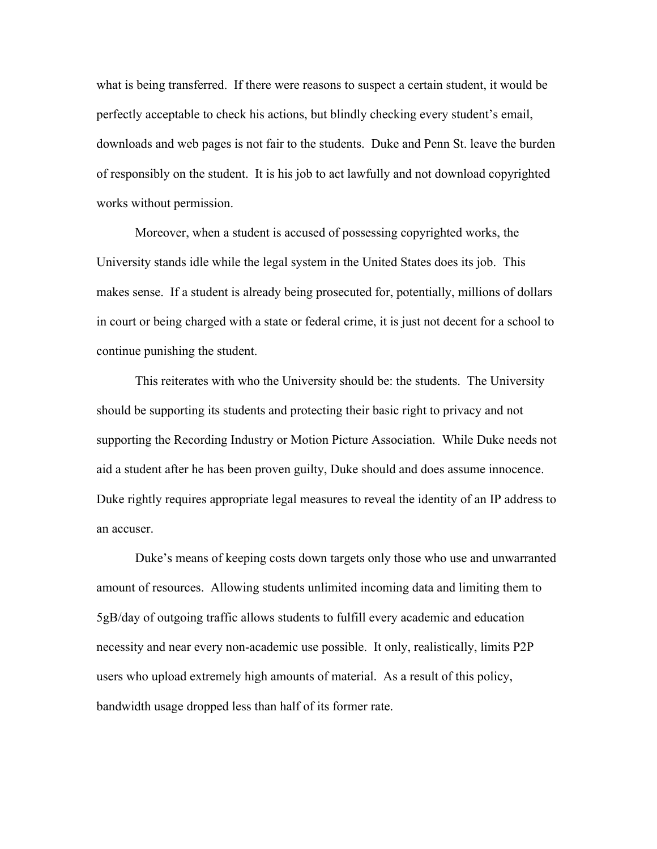what is being transferred. If there were reasons to suspect a certain student, it would be perfectly acceptable to check his actions, but blindly checking every student's email, downloads and web pages is not fair to the students. Duke and Penn St. leave the burden of responsibly on the student. It is his job to act lawfully and not download copyrighted works without permission.

Moreover, when a student is accused of possessing copyrighted works, the University stands idle while the legal system in the United States does its job. This makes sense. If a student is already being prosecuted for, potentially, millions of dollars in court or being charged with a state or federal crime, it is just not decent for a school to continue punishing the student.

This reiterates with who the University should be: the students. The University should be supporting its students and protecting their basic right to privacy and not supporting the Recording Industry or Motion Picture Association. While Duke needs not aid a student after he has been proven guilty, Duke should and does assume innocence. Duke rightly requires appropriate legal measures to reveal the identity of an IP address to an accuser.

Duke's means of keeping costs down targets only those who use and unwarranted amount of resources. Allowing students unlimited incoming data and limiting them to 5gB/day of outgoing traffic allows students to fulfill every academic and education necessity and near every non-academic use possible. It only, realistically, limits P2P users who upload extremely high amounts of material. As a result of this policy, bandwidth usage dropped less than half of its former rate.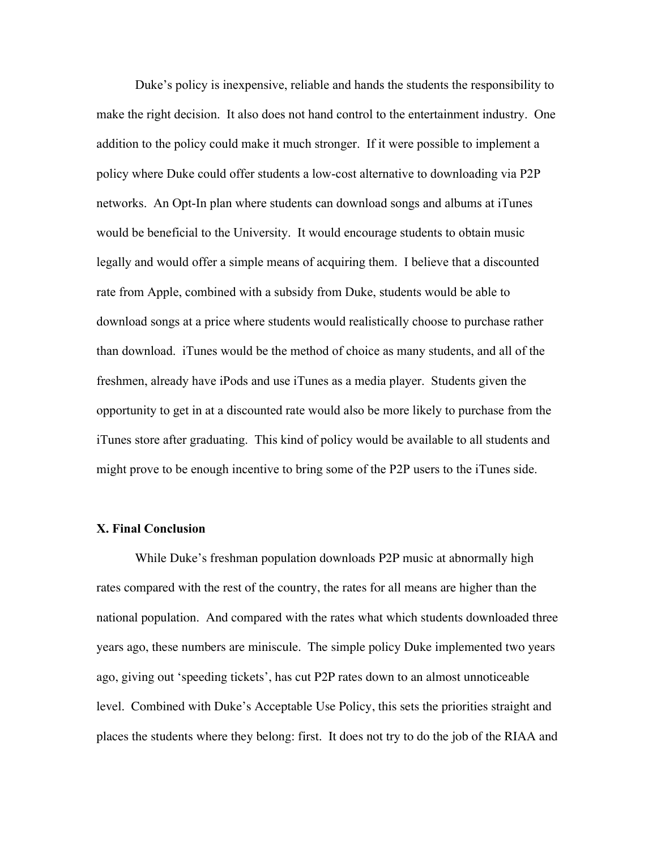Duke's policy is inexpensive, reliable and hands the students the responsibility to make the right decision. It also does not hand control to the entertainment industry. One addition to the policy could make it much stronger. If it were possible to implement a policy where Duke could offer students a low-cost alternative to downloading via P2P networks. An Opt-In plan where students can download songs and albums at iTunes would be beneficial to the University. It would encourage students to obtain music legally and would offer a simple means of acquiring them. I believe that a discounted rate from Apple, combined with a subsidy from Duke, students would be able to download songs at a price where students would realistically choose to purchase rather than download. iTunes would be the method of choice as many students, and all of the freshmen, already have iPods and use iTunes as a media player. Students given the opportunity to get in at a discounted rate would also be more likely to purchase from the iTunes store after graduating. This kind of policy would be available to all students and might prove to be enough incentive to bring some of the P2P users to the iTunes side.

## X. Final Conclusion

While Duke's freshman population downloads P2P music at abnormally high rates compared with the rest of the country, the rates for all means are higher than the national population. And compared with the rates what which students downloaded three years ago, these numbers are miniscule. The simple policy Duke implemented two years ago, giving out 'speeding tickets', has cut P2P rates down to an almost unnoticeable level. Combined with Duke's Acceptable Use Policy, this sets the priorities straight and places the students where they belong: first. It does not try to do the job of the RIAA and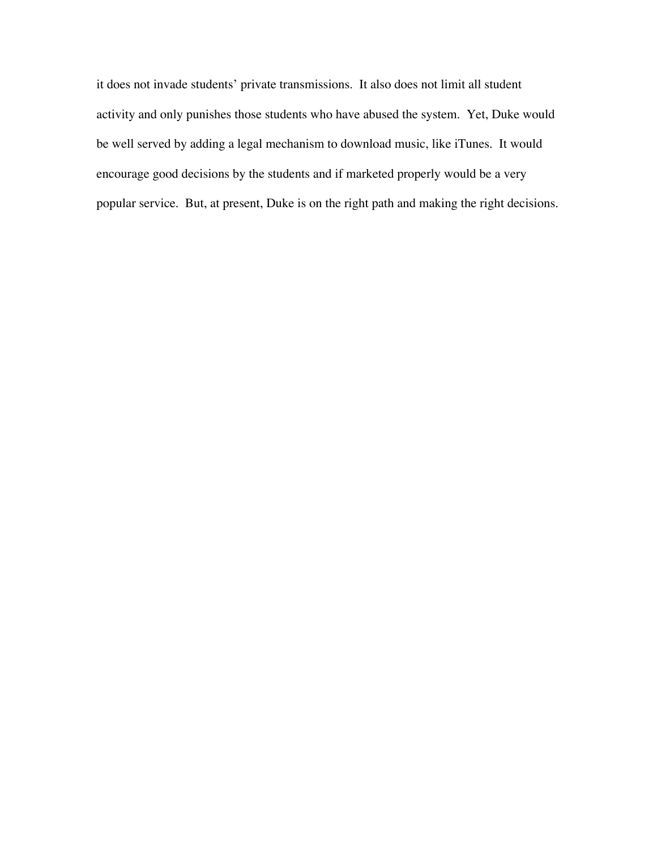it does not invade students' private transmissions. It also does not limit all student activity and only punishes those students who have abused the system. Yet, Duke would be well served by adding a legal mechanism to download music, like iTunes. It would encourage good decisions by the students and if marketed properly would be a very popular service. But, at present, Duke is on the right path and making the right decisions.